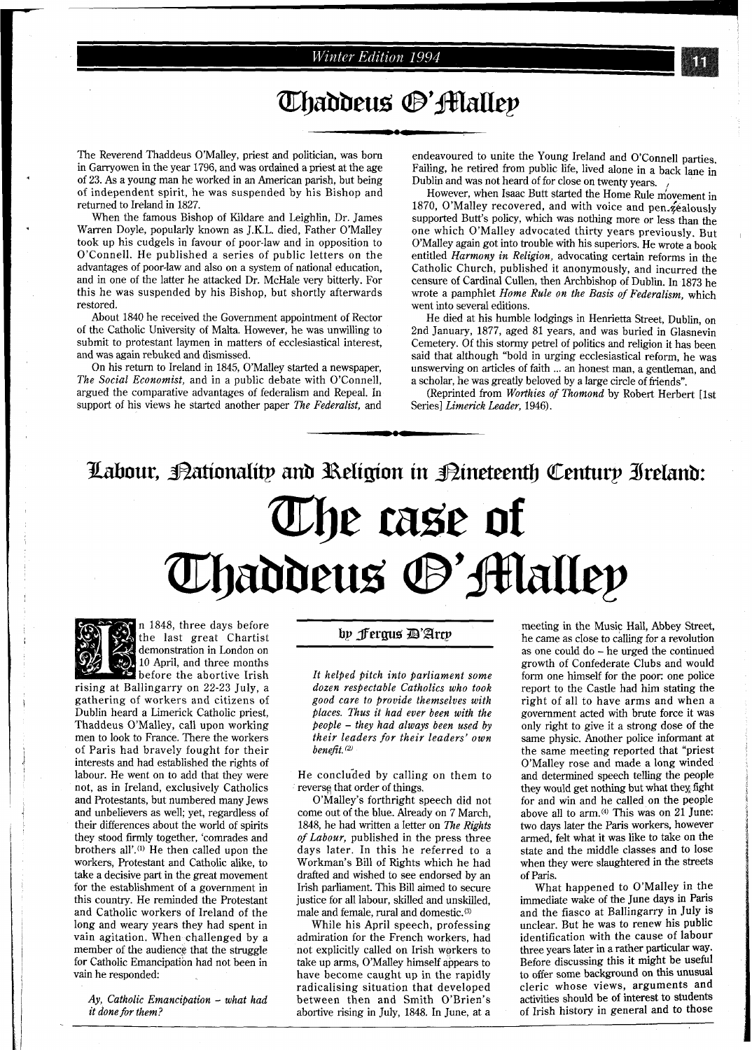### **Winter Edition 1994**

## **Thaddeus ®'Halley**

The Reverend Thaddeus O'Malley, priest and politician, was born in Garryowen in the year 1796, and was ordained a priest at the age of 23. As a young man he worked in an American parish, but being of independent spirit, he was suspended by his Bishop and returned to Ireland in 1827.

When the famous Bishop of Kildare and Leighlin, Dr. James Warren Doyle, popularly known as J.K.L. died, Father O'Malley took up his cudgels in favour of poor-law and in opposition to O'Connell. He published a series of public letters on the advantages of poor-law and also on a system of national education, and in one of the latter he attacked Dr. McHale very bitterly. For this he was suspended by his Bishop, but shortly afterwards restored.

About 1840 he received the Government appointment of Rector of the Catholic University of Malta. However, he was unwilling to submit to protestant laymen in matters of ecclesiastical interest, and was again rebuked and dismissed.

On his return to Ireland in 1845, O'Malley started a newspaper, *The Social Economist,* and in a public debate with O'Connell, argued the comparative advantages of federalism and Repeal. In support of his views he started another paper *The Federalist,* and

endeavoured to unite the Young Ireland and O'Connell parties. Failing, he retired from public life, lived alone in a back lane in Dublin and was not heard of for close on twenty years.

However, when Isaac Butt started the Home Rule movement in 1870, O'Malley recovered, and with voice and pen.zealously supported Butt's policy, which was nothing more or less than the one which O'Malley advocated thirty years previously. But O'Malley again got into trouble with his superiors. He wrote a book entitled *Harmony in Religion,* advocating certain reforms in the Catholic Church, published it anonymously, and incurred the censure of Cardinal Cullen, then Archbishop of Dublin. In 1873 he wrote a pamphlet *Home Rule on the Basis of Federalism,* which went into several editions.

He died at his humble lodgings in Henrietta Street, Dublin, on 2nd January, 1877, aged 81 years, and was buried in Glasnevin Cemetery. Of this stormy petrel of politics and religion it has been said that although "bold in urging ecclesiastical reform, he was unswerving on articles of faith ... an honest man, a gentleman, and a scholar, he was greatly beloved by a large circle of friends".

(Reprinted from *Worthies of Thomond* by Robert Herbert [lst Series] *Limerick Leader,* 1946).

# Labour, Bationality and Religion in Bineteenth Century Ireland: The case of Thaddeus ®'Alallep



n 1848, three days before the last great Chartist demonstration in London on 10 April, and three months before the abortive Irish rising at Ballingarry on 22-23 July, a

gathering of workers and citizens of Dublin heard a Limerick Catholic priest, Thaddeus O'Malley, call upon working men to look to France. There the workers of Paris had bravely fought for their interests and had established the rights of labour. He went on to add that they were not, as in Ireland, exclusively Catholics and Protestants, but numbered many Jews and unbelievers as well; yet, regardless of their differences about the world of spirits they stood tirmly together, 'comrades and brothers all'.(') He then called upon the workers, Protestant and Catholic alike, to take a decisive part in the great movement for the establishment of a government in this country. He reminded the Protestant and Catholic workers of Ireland of the long and weary years they had spent in vain agitation. When challenged by a member of the audience that the struggle for Catholic Emancipation had not been in vain he responded:

*Ay, Catholic Emancipation* - *what had it done for them?* 

#### by Fergus D'Arcy

*It helped pitch into parliament some dozen resjectable Catholics who took good care to provide themselves with places. Thus it had ever been with the fieople* - *they had always been used by their leaders for their leaders' own benefit.* **(2)** 

He concluded by calling on them to reversg that order of things.

O'Malley's forthright speech did not come out of the blue. Already on 7 March, 1848, he had written a letter on *The Rights of Labour,* published in the press three days later. In this he referred to a Workman's Bill of Rights which he had drafted and wished to see endorsed by an Irish parliament. This Bill aimed to secure justice for all labour, skilled and unskilled, male and female, rural and domestic.<sup>(3)</sup>

While his April speech, professing admiration for the French workers, had not explicitly called on Irish workers to take up arms, O'Malley himself appears to have become caught up in the rapidly radicalising situation that developed between then and Smith O'Brien's abortive rising in July, 1848. In June, at a

meeting in the Music Hall, Abbey Street, he came as close to calling for a revolution as one could do - he urged the continued growth of Confederate Clubs and would form one himself for the poor: one police report to the Castle had him stating the right of all to have arms and when a government acted with brute force it was only right to give it a strong dose of the same physic. Another police informant at the same meeting reported that "priest O'Malley rose and made a long winded and determined speech telling the people they would get nothing but what they, fight for and win and he called on the people above all to arm.<sup>(4)</sup> This was on 21 June: two days later the Paris workers, however armed, felt what it was like to take on the state and the middle classes and to lose when they were slaughtered in the streets of Paris.

What happened to O'Malley in the immediate wake of the June days in Paris and the fiasco at Ballingarry in July is unclear. But he was to renew his public identification with the cause of labour three years later in a rather particular way. Before discussing this it might be useful to offer some background on this unusual cleric whose views, arguments and activities should be of interest to students of Irish history in general and to those

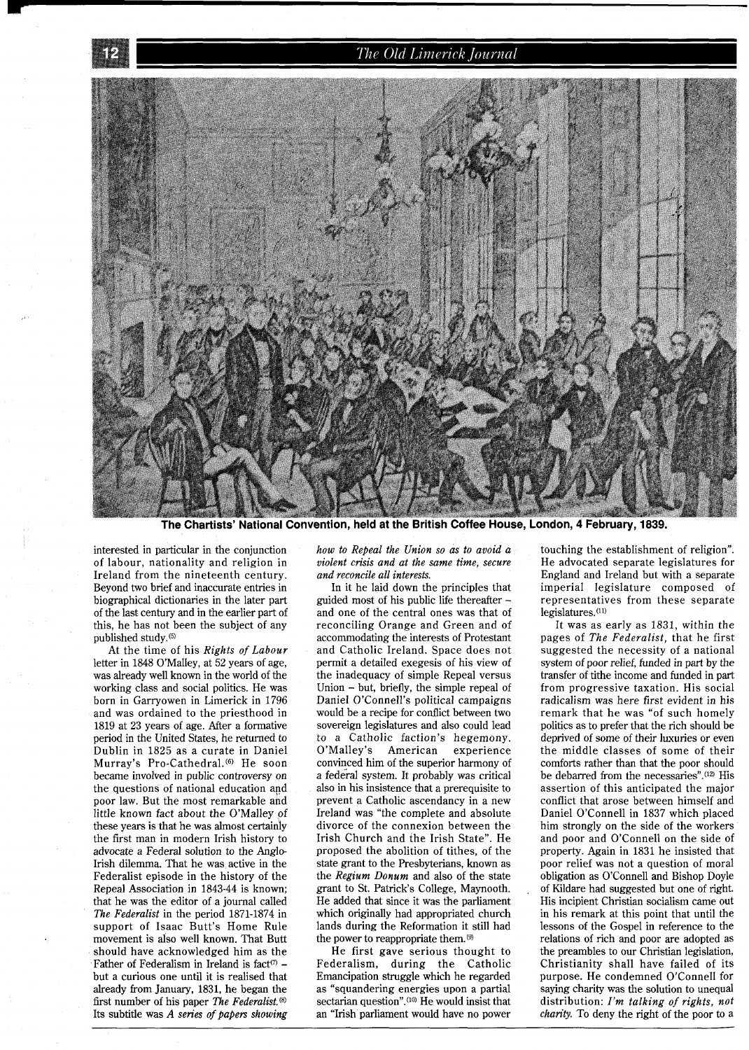#### The Old Limerick Journal



The Chartists' National Convention, held at the British Coffee House, London, 4 February, 1839.

interested in particular in the conjunction of labour, nationality and religion in Ireland from the nineteenth century. Beyond two brief and inaccurate entries in biographical dictionaries in the later part of the last century and in the earlier part of this, he has not been the subject of any published study.<sup>(5)</sup>

At the time of his *Rights of Labour*  letter in 1848 O'Malley, at 52 years of age, was already well known in the world of the working class and social politics. He was born in Garryowen in Limerick in 1796 and was ordained to the priesthood in 1819 at 23 years of age. After a formative period in the United States, he returned to Dublin in 1825 as a curate in Daniel Murray's Pro-Cathedral.<sup>(6)</sup> He soon became involved in public controversy on the questions of national education and poor law. But the most remarkable and little known fact about the O'Malley of these years is that he was almost certainly the first man in modern Irish history to advocate a Federal solution to the Anglo-Irish dilemma. That he was active in the Federalist episode in the history of the Repeal Association in 1843-44 is known; that he was the editor of a journal called *The Federalist* in the period 1871-1874 in support of Isaac Butt's Home Rule movement is also well known. That Butt should have acknowledged him as the Father of Federalism in Ireland is fact<sup>(7)</sup>  $$ but a curious one until it is realised that already from January, 1831, he began the first number of his paper *The Federalist.@)*  Its subtitle was *A series of papers showing* 

*how to Repeal the Union so as to avoid a violent crisis and at the same time, secure and reconcile all interests.* 

In it he laid down the principles that guided most of his public lie thereafter and one of the central ones was that of reconciling Orange and Green and of accommodating the interests of Protestant and Catholic Ireland. Space does not permit a detailed exegesis of his view of the inadequacy of simple Repeal versus Union - but, briefly, the simple repeal of Daniel O'Connell's political campaigns would be a recipe for conflict between two sovereign legislatures and also could lead to a Catholic faction's hegemony. American experience convinced him of the superior harmony of a federal system. It probably was critical also in his insistence that a prerequisite to prevent a Catholic ascendancy in a new Ireland was "the complete and absolute divorce of the connexion between the Irish Church and the Irish State". He proposed the abolition of tithes, of the state grant to the Presbyterians, known as the *Regium Donum* and also of the state grant to St. Patrick's College, Maynooth. He added that since it was the parliament which originally had appropriated church lands during the Reformation it still had the power to reappropriate them.<sup>(9)</sup>

He first gave serious thought to Federalism, during the Catholic Emancipation struggle which he regarded as "squandering energies upon a partial sectarian question".<sup>(10)</sup> He would insist that an "Irish parliament would have no power

touching the establishment of religion". He advocated separate legislatures for England and Ireland but with a separate imperial legislature composed of representatives from these separate legislatures.(11)

It was as early as 1831, within the pages of *The Federalist,* that he first suggested the necessity of a national system of poor relief, funded in part by the transfer of tithe income and funded in part from progressive taxation. His social radicalism was here first evident in his remark that he was "of such homely politics as to prefer that the rich should be deprived of some of their luxuries or even the middle classes of some of their comforts rather than that the poor should be debarred from the necessaries".<sup>(12)</sup> His assertion of this anticipated the major conflict that arose between himself and Daniel O'Connell in 1837 which placed him strongly on the side of the workers and poor and O'Connell on the side of property. Again in 1831 he insisted that poor relief was not a question of moral obligation as O'Connell and Bishop Doyle of Kildare had suggested but one of right. His incipient Christian socialism came out in his remark at this point that until the lessons of the Gospel in reference to the relations of rich and poor are adopted as the preambles to our Christian legislation, Christianity shall have failed of its purpose. He condemned O'Connell for saying charity was the solution to unequal distribution: *I'm talking of rights, not charity.* To deny the right of the poor to a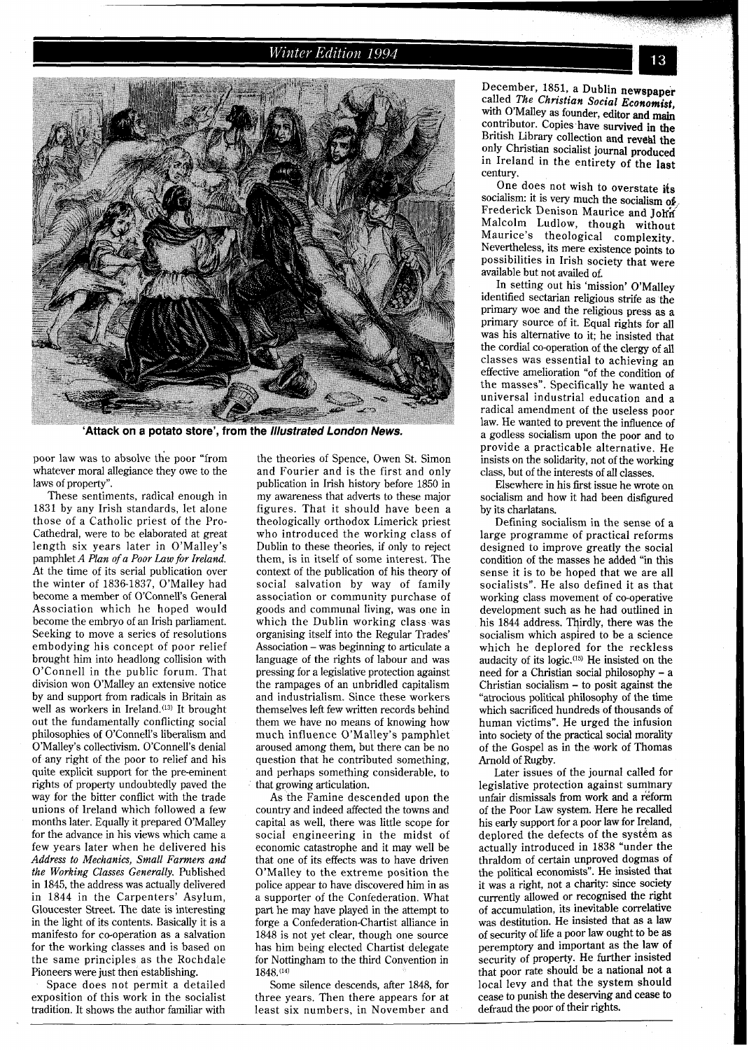#### Winter Edition 1994



'Attack on a potato store', from the Illustrated London News.

poor law was to absolve the poor "from whatever moral allegiance they owe to the laws of property".

These sentiments, radical enough in 1831 by any Irish standards, let alone those of a Catholic priest of the Pro-Cathedral, were to be elaborated at great length six years later in O'Malley's pamphlet A *Plan* of *a Poor Law for Ireland.*  At the time of its serial publication over the winter of 1836-1837, O'Malley had become a member of O'Connell's General Association which he hoped would become the embryo of an Irish parliament. Seeking to move a series of resolutions embodying his concept of poor relief brought him into headlong collision with O'Connell in the public forum. That division won O'Malley an extensive notice by and support from radicals in Britain as well as workers in Ireland.<sup>(13)</sup> It brought out the fundamentally conflicting social philosophies of O'Connell's liberalism and O'Malley's collectivism. O'Connell's denial of any right of the poor to relief and his quite explicit support for the pre-eminent rights of property undoubtedly paved the way for the bitter conflict with the trade unions of Ireland which followed a few months later. Equally it prepared O'Malley for the advance in his views which came a few years later when he delivered his *Address* to *Mechanics, Small Farmers and the Working Classes Generally.* Published in 1845, the address was actually delivered in 1844 in the Carpenters' Asylum, Gloucester Street. The date is interesting in the light of its contents. Basically it is a manifesto for co-operation as a salvation for the working classes and is based on the same principles as the Rochdale Pioneers were just then establishing.

Space does not permit a detailed exposition of this work in the socialist tradition. It shows the author familiar with

the theories of Spence, Owen St. Simon and Fourier and is the first and only publication in Irish history before 1850 in my awareness that adverts to these major figures. That it should have been a theologically orthodox Limerick priest who introduced the working class of Dublin to these theories, if only to reject them, is in itself of some interest. The context of the publication of his theory of social salvation by way of family association or community purchase of goods and communal living, was one in which the Dublin working class was organising itself into the Regular Trades' Association - was beginning to articulate a language of the rights of labour and was pressing for a legislative protection against the rampages of an unbridled capitalism and industrialism. Since these workers themselves left few written records behind them we have no means of knowing how much influence O'Malley's pamphlet aroused among them, but there can be no question that he contributed something, and perhaps something considerable, to that growing articulation.

As the Famine descended upon the country and indeed affected the towns and capital as well, there was little scope for social engineering in the midst of economic catastrophe and it may well be that one of its effects was to have driven O'Malley to the extreme position the police appear to have discovered him in as a supporter of the Confederation. What part he may have played in the attempt to forge a Confederation-Chartist alliance in 1848 is not yet clear, though one source has him being elected Chartist delegate for Nottingham to the third Convention in 1848.(14)

Some silence descends, after 1848, for three years. Then there appears for at least six numbers, in November and December, 1851, a Dublin newspaper called *The Christian* **Social** *Economist,*  with O'Malley as founder, editor and main contributor. Copies have survived in the British Library collection and reveal the only Christian socialist journal produced in Ireland in the entirety of the last century.

One does not wish to overstate its socialism: it is very much the socialism of Frederick Denison Maurice and John Malcolm Ludlow, though without Maurice's theological complexity. Nevertheless, its mere existence points to possibilities in Irish society that were available but not availed of.

In setting out his 'mission' O'Malley identified sectarian religious strife as the primary woe and the religious press as a<br>primary source of it. Equal rights for all was his alternative to it; he insisted that the cordial co-operation of the clergy of all classes was essential to achieving an effective amelioration "of the condition of the masses". Specifically he wanted a universal industrial education and a radical amendment of the useless poor law. He wanted to prevent the influence of a godless socialism upon the poor and to provide a practicable alternative. He insists on the solidarity, not of the working class, but of the interests of all classes.

Elsewhere in his first issue he wrote on socialism and how it had been disfigured by its charlatans.

Defining socialism in the sense of a large programme of practical reforms designed to improve greatly the social condition of the masses he added "in this sense it is to be hoped that we are all socialists". He also defined it as that working class movement of co-operative development such as he had outlined in his 1844 address. Thirdly, there was the socialism which aspired to be a science which he deplored for the reckless audacity of its logic.(15) He insisted on the need for a Christian social philosophy - <sup>a</sup> Christian socialism - to posit against the "atrocious political philosophy of the time which sacrificed hundreds of thousands of human victims". He urged the infusion into society of the practical social morality of the Gospel as in the work of Thomas Arnold of Rugby.

Later issues of the journal called for legislative protection against summary unfair dismissals from work and a reform of the Poor Law system. Here he recalled his early support for a poor law for Ireland, deplored the defects of the system as actually introduced in 1838 "under the thraldom of certain unproved dogmas of the political economists". He insisted that it was a right, not a charity: since Society currently allowed or recognised the right of accumulation, its inevitable correlative was destitution. He insisted that as a law of security of life a poor law ought to be as peremptory and important as the law of security of property. He further insisted that poor rate should be a national not a local levy and that the system should cease to punish the deserving and cease to defraud the poor of their rights.